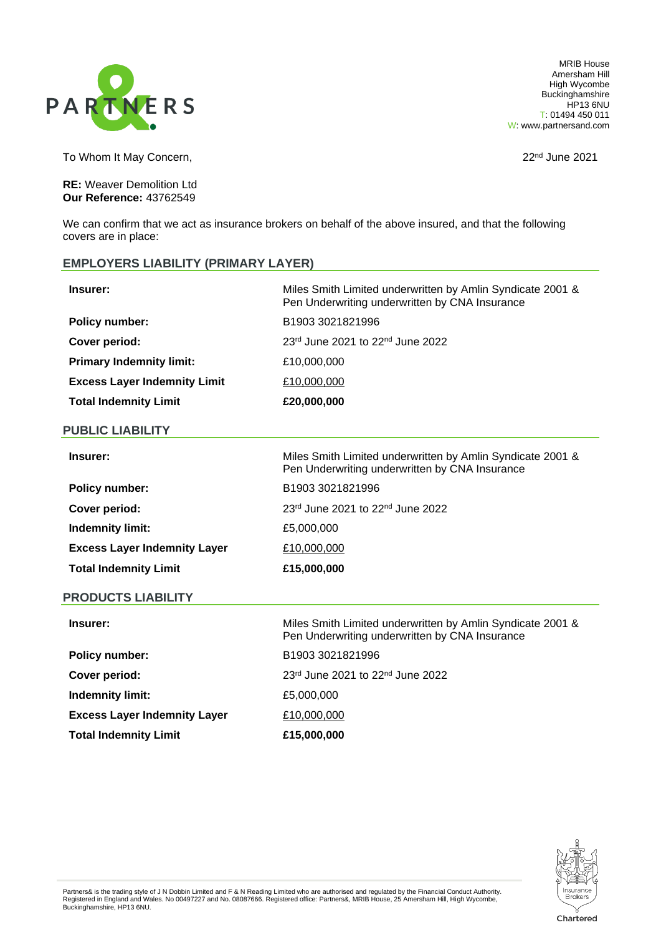

MRIB House Amersham Hill High Wycombe **Buckinghamshire** HP13 6NU T: 01494 450 011 W: www.partnersand.com

To Whom It May Concern, The Concerners of the Concerners of the 2021 and 22<sup>nd</sup> June 2021

**RE:** Weaver Demolition Ltd **Our Reference:** 43762549

We can confirm that we act as insurance brokers on behalf of the above insured, and that the following covers are in place:

# **EMPLOYERS LIABILITY (PRIMARY LAYER)**

| <b>Insurer:</b>                     | Miles Smith Limited underwritten by Amlin Syndicate 2001 &<br>Pen Underwriting underwritten by CNA Insurance |
|-------------------------------------|--------------------------------------------------------------------------------------------------------------|
| <b>Policy number:</b>               | B1903 3021821996                                                                                             |
| Cover period:                       | $23rd$ June 2021 to 22 <sup>nd</sup> June 2022                                                               |
| <b>Primary Indemnity limit:</b>     | £10,000,000                                                                                                  |
| <b>Excess Layer Indemnity Limit</b> | £10,000,000                                                                                                  |
| <b>Total Indemnity Limit</b>        | £20,000,000                                                                                                  |

### **PUBLIC LIABILITY**

| Insurer:                            | Miles Smith Limited underwritten by Amlin Syndicate 2001 &<br>Pen Underwriting underwritten by CNA Insurance |
|-------------------------------------|--------------------------------------------------------------------------------------------------------------|
| <b>Policy number:</b>               | B1903 3021821996                                                                                             |
| Cover period:                       | $23rd$ June 2021 to $22nd$ June 2022                                                                         |
| <b>Indemnity limit:</b>             | £5,000,000                                                                                                   |
| <b>Excess Layer Indemnity Layer</b> | £10,000,000                                                                                                  |
| <b>Total Indemnity Limit</b>        | £15,000,000                                                                                                  |

### **PRODUCTS LIABILITY**

| Insurer:                            | Miles Smith Limited underwritten by Amlin Syndicate 2001 &<br>Pen Underwriting underwritten by CNA Insurance |
|-------------------------------------|--------------------------------------------------------------------------------------------------------------|
| <b>Policy number:</b>               | B1903 3021821996                                                                                             |
| Cover period:                       | 23rd June 2021 to 22nd June 2022                                                                             |
| Indemnity limit:                    | £5,000,000                                                                                                   |
| <b>Excess Layer Indemnity Layer</b> | £10,000,000                                                                                                  |
| <b>Total Indemnity Limit</b>        | £15,000,000                                                                                                  |



Chartered